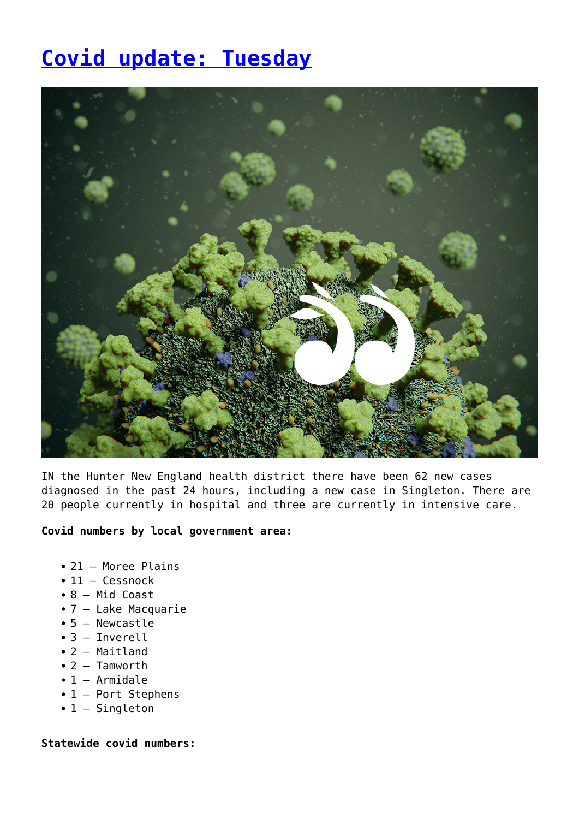## **[Covid update: Tuesday](https://www.singleton.net.au/covid-update-tuesday/)**



IN the Hunter New England health district there have been 62 new cases diagnosed in the past 24 hours, including a new case in Singleton. There are 20 people currently in hospital and three are currently in intensive care.

## **Covid numbers by local government area:**

- 21 Moree Plains
- 11 Cessnock
- 8 Mid Coast
- 7 Lake Macquarie
- 5 Newcastle
- 3 Inverell
- 2 Maitland
- 2 Tamworth
- $\bullet$  1 Armidale
- 1 Port Stephens
- 1 Singleton

## **Statewide covid numbers:**